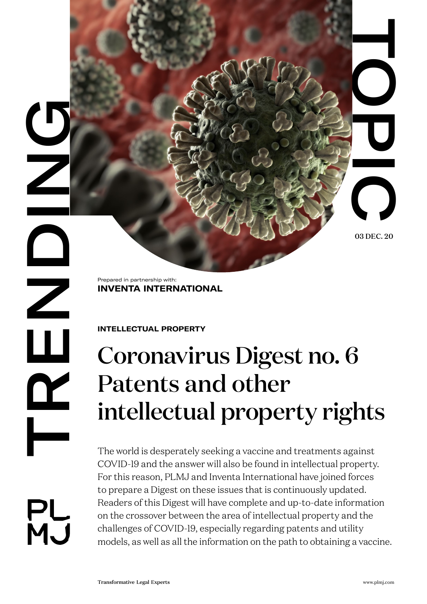03 DEC. 20

**DRENDING**  $\mathbf{\underline{\underline{\alpha}}}$ PL<br>MJ

Prepared in partnership with: **INVENTA INTERNATIONAL**

**INTELLECTUAL PROPERTY** 

# Coronavirus Digest no. 6 Patents and other intellectual property rights

Transformation of the Controller of Controller Controller Controller Controller Controller Controller Controller Controller Controller Controller Controller Controller Controller Controller Controller Controller Controller The world is desperately seeking a vaccine and treatments against COVID-19 and the answer will also be found in intellectual property. For this reason, PLMJ and Inventa International have joined forces to prepare a Digest on these issues that is continuously updated. Readers of this Digest will have complete and up-to-date information on the crossover between the area of intellectual property and the challenges of COVID-19, especially regarding patents and utility models, as well as all the information on the path to obtaining a vaccine.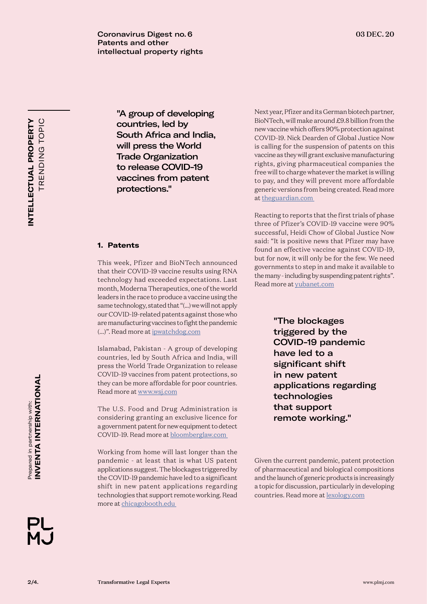**Coronavirus Digest no. 6** 03 DEC. 20 Patents and other intellectual property rights

**INTELLECTUAL PROPERTY**  TRENDING TOPIC TRENDING TOPIC **NTELLECTUAL PROPERTY** 

"A group of developing countries, led by South Africa and India, will press the World Trade Organization to release COVID-19 vaccines from patent protections."

## **1. Patents**

This week, Pfizer and BioNTech announced that their COVID-19 vaccine results using RNA technology had exceeded expectations. Last month, Moderna Therapeutics, one of the world leaders in the race to produce a vaccine using the same technology, stated that "(...) we will not apply our COVID-19-related patents against those who are manufacturing vaccines to fight the pandemic (...)". Read more at [ipwatchdog.com](https://www.ipwatchdog.com/2020/11/11/breaking-modernas-covid-19-patent-pledge/id=127224/)

Islamabad, Pakistan - A group of developing countries, led by South Africa and India, will press the World Trade Organization to release COVID-19 vaccines from patent protections, so they can be more affordable for poor countries. Read more at [www.wsj.com](https://www.wsj.com/articles/developing-nations-push-for-covid-vaccines-without-the-patents-11605614409)

The U.S. Food and Drug Administration is considering granting an exclusive licence for a government patent for new equipment to detect COVID-19. Read more at [bloomberglaw.com](https://news.bloomberglaw.com/ip-law/fda-considers-exclusive-license-to-patent-for-coronavirus-tests) 

Working from home will last longer than the pandemic - at least that is what US patent applications suggest. The blockages triggered by the COVID-19 pandemic have led to a significant shift in new patent applications regarding technologies that support remote working. Read more at [chicagobooth.edu](https://review.chicagobooth.edu/economics/2020/article/inventors-are-eyeing-your-home-office) 

Next year, Pfizer and its German biotech partner, BioNTech, will make around £9.8 billion from the new vaccine which offers 90% protection against COVID-19. Nick Dearden of Global Justice Now is calling for the suspension of patents on this vaccine as they will grant exclusive manufacturing rights, giving pharmaceutical companies the free will to charge whatever the market is willing to pay, and they will prevent more affordable generic versions from being created. Read more at [theguardian.com](https://www.theguardian.com/commentisfree/2020/nov/12/covid-vaccine-patent-pharmaceutical-industry-profits-public-sector) 

Reacting to reports that the first trials of phase three of Pfizer's COVID-19 vaccine were 90% successful, Heidi Chow of Global Justice Now said: "It is positive news that Pfizer may have found an effective vaccine against COVID-19, but for now, it will only be for the few. We need governments to step in and make it available to the many - including by suspending patent rights". Read more at [yubanet.com](https://yubanet.com/usa/suspend-patents-on-pfizers-covid-19-vaccine-say-campaigners/)

> "The blockages triggered by the COVID-19 pandemic have led to a significant shift in new patent applications regarding technologies that support remote working."

Given the current pandemic, patent protection of pharmaceutical and biological compositions and the launch of generic products is increasingly a topic for discussion, particularly in developing countries. Read more at [lexology.com](http://www.lexology.com/library/detail.aspx?g=16882ccb-acb2-44b4-9f60-37e44013d56e%20)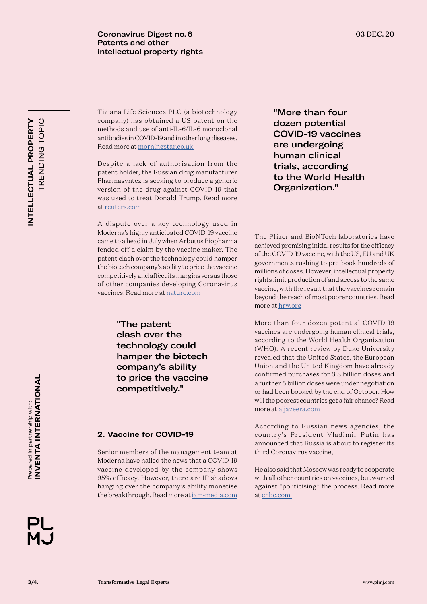**Coronavirus Digest no. 6** 03 DEC. 20 Patents and other intellectual property rights

Tiziana Life Sciences PLC (a biotechnology company) has obtained a US patent on the methods and use of anti-IL-6/IL-6 monoclonal antibodies in COVID-19 and in other lung diseases. Read more at [morningstar.co.uk](https://www.morningstar.co.uk/uk/news/AN_1598276017323320400/in-brief-tiziana-life-sciences-gets-us-patent-on-tzls-501-in-covid-19.aspx) 

Despite a lack of authorisation from the patent holder, the Russian drug manufacturer Pharmasyntez is seeking to produce a generic version of the drug against COVID-19 that was used to treat Donald Trump. Read more at [reuters.com](https://in.reuters.com/article/us-health-coronavirus-russia-remdesivir/russian-firm-seeks-to-produce-covid-19-drug-remdesivir-without-patent-idINKBN27I0QH) 

A dispute over a key technology used in Moderna's highly anticipated COVID-19 vaccine came to a head in July when Arbutus Biopharma fended off a claim by the vaccine maker. The patent clash over the technology could hamper the biotech company's ability to price the vaccine competitively and affect its margins versus those of other companies developing Coronavirus vaccines. Read more at [nature.com](https://www.nature.com/articles/s41587-020-0674-1)

> "The patent clash over the technology could hamper the biotech company's ability to price the vaccine competitively."

# **2. Vaccine for COVID-19**

Senior members of the management team at Moderna have hailed the news that a COVID-19 vaccine developed by the company shows 95% efficacy. However, there are IP shadows hanging over the company's ability monetise the breakthrough. Read more at [iam-media.com](https://www.iam-media.com/coronavirus/moderna-vaccine-ip-challenges) 

"More than four dozen potential COVID-19 vaccines are undergoing human clinical trials, according to the World Health Organization."

The Pfizer and BioNTech laboratories have achieved promising initial results for the efficacy of the COVID-19 vaccine, with the US, EU and UK governments rushing to pre-book hundreds of millions of doses. However, intellectual property rights limit production of and access to the same vaccine, with the result that the vaccines remain beyond the reach of most poorer countries. Read more at [hrw.org](https://www.hrw.org/news/2020/11/16/waiving-intellectual-property-rules-key-beating-covid-19)

More than four dozen potential COVID-19 vaccines are undergoing human clinical trials, according to the World Health Organization (WHO). A recent review by Duke University revealed that the United States, the European Union and the United Kingdom have already confirmed purchases for 3.8 billion doses and a further 5 billion doses were under negotiation or had been booked by the end of October. How will the poorest countries get a fair chance? Read more at [aljazeera.com](https://www.aljazeera.com/features/2020/11/17/coronavirus-vaccine-how-will-poorer-countries-get-a-fair%20) 

According to Russian news agencies, the country's President Vladimir Putin has announced that Russia is about to register its third Coronavirus vaccine,

He also said that Moscow was ready to cooperate with all other countries on vaccines, but warned against "politicising" the process. Read more at [cnbc.com](https://www.cnbc.com/2020/11/10/russia-is-about-to-register-its-third-coronavirus-vaccine-putin-says.html)